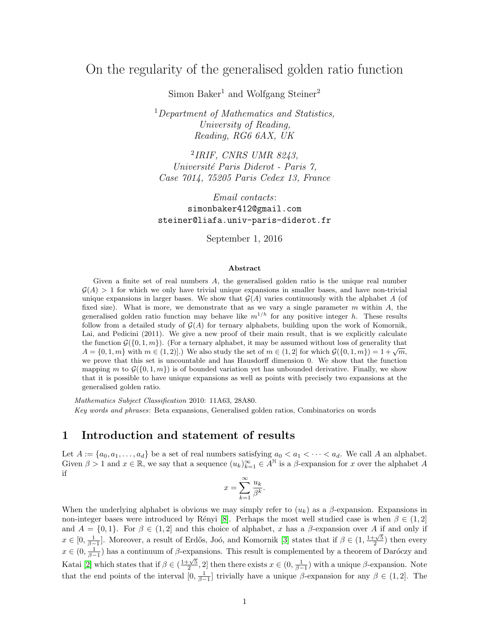# On the regularity of the generalised golden ratio function

Simon Baker<sup>1</sup> and Wolfgang Steiner<sup>2</sup>

 $1$ Department of Mathematics and Statistics, University of Reading, Reading, RG6 6AX, UK

2 IRIF, CNRS UMR 8243, Université Paris Diderot - Paris 7, Case 7014, 75205 Paris Cedex 13, France

Email contacts: simonbaker412@gmail.com steiner@liafa.univ-paris-diderot.fr

September 1, 2016

#### Abstract

Given a finite set of real numbers  $A$ , the generalised golden ratio is the unique real number  $\mathcal{G}(A) > 1$  for which we only have trivial unique expansions in smaller bases, and have non-trivial unique expansions in larger bases. We show that  $\mathcal{G}(A)$  varies continuously with the alphabet A (of fixed size). What is more, we demonstrate that as we vary a single parameter  $m$  within  $A$ , the generalised golden ratio function may behave like  $m^{1/h}$  for any positive integer h. These results follow from a detailed study of  $\mathcal{G}(A)$  for ternary alphabets, building upon the work of Komornik, Lai, and Pedicini (2011). We give a new proof of their main result, that is we explicitly calculate the function  $\mathcal{G}(\{0, 1, m\})$ . (For a ternary alphabet, it may be assumed without loss of generality that the function  $\mathcal{G}(\{0, 1, m\})$ . (For a ternary alphabet, it may be assumed without loss of generality that  $A = \{0, 1, m\}$  with  $m \in (1, 2]$ .) We also study the set of  $m \in (1, 2]$  for which  $\mathcal{G}(\{0, 1, m\}) = 1 + \sqrt{m}$ , we prove that this set is uncountable and has Hausdorff dimension 0. We show that the function mapping m to  $\mathcal{G}(\{0,1,m\})$  is of bounded variation yet has unbounded derivative. Finally, we show that it is possible to have unique expansions as well as points with precisely two expansions at the generalised golden ratio.

Mathematics Subject Classification 2010: 11A63, 28A80. Key words and phrases: Beta expansions, Generalised golden ratios, Combinatorics on words

## 1 Introduction and statement of results

Let  $A := \{a_0, a_1, \ldots, a_d\}$  be a set of real numbers satisfying  $a_0 < a_1 < \cdots < a_d$ . We call A an alphabet. Given  $\beta > 1$  and  $x \in \mathbb{R}$ , we say that a sequence  $(u_k)_{k=1}^{\infty} \in A^{\mathbb{N}}$  is a  $\beta$ -expansion for x over the alphabet A if

$$
x = \sum_{k=1}^{\infty} \frac{u_k}{\beta^k}.
$$

When the underlying alphabet is obvious we may simply refer to  $(u_k)$  as a  $\beta$ -expansion. Expansions in non-integer bases were introduced by Rényi [\[8\]](#page-11-0). Perhaps the most well studied case is when  $\beta \in (1,2]$ and  $A = \{0, 1\}$ . For  $\beta \in (1, 2]$  and this choice of alphabet, x has a  $\beta$ -expansion over A if and only if  $x \in [0, \frac{1}{\beta-1}]$ . Moreover, a result of Erdős, Joó, and Komornik [\[3\]](#page-11-1) states that if  $\beta \in (1, \frac{1+\sqrt{5}}{2})$  then every  $x \in (0, \frac{1}{\beta-1})$  has a continuum of  $\beta$ -expansions. This result is complemented by a theorem of Daróczy and Katai [\[2\]](#page-10-0) which states that if  $\beta \in (\frac{1+\sqrt{5}}{2}, 2]$  then there exists  $x \in (0, \frac{1}{\beta-1})$  with a unique  $\beta$ -expansion. Note that the end points of the interval  $[0, \frac{1}{\beta-1}]$  trivially have a unique  $\beta$ -expansion for any  $\beta \in (1, 2]$ . The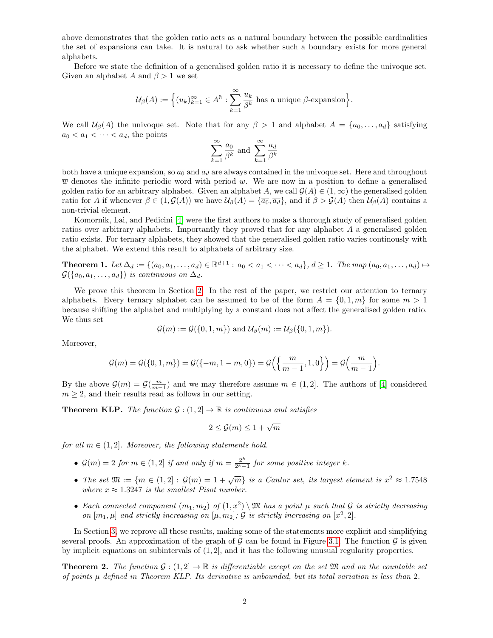above demonstrates that the golden ratio acts as a natural boundary between the possible cardinalities the set of expansions can take. It is natural to ask whether such a boundary exists for more general alphabets.

Before we state the definition of a generalised golden ratio it is necessary to define the univoque set. Given an alphabet A and  $\beta > 1$  we set

$$
\mathcal{U}_{\beta}(A) := \Big\{ (u_k)_{k=1}^{\infty} \in A^{\mathbb{N}} : \sum_{k=1}^{\infty} \frac{u_k}{\beta^k} \text{ has a unique } \beta\text{-expansion} \Big\}.
$$

We call  $\mathcal{U}_{\beta}(A)$  the univoque set. Note that for any  $\beta > 1$  and alphabet  $A = \{a_0, \ldots, a_d\}$  satisfying  $a_0 < a_1 < \cdots < a_d$ , the points

$$
\sum_{k=1}^{\infty} \frac{a_0}{\beta^k}
$$
 and 
$$
\sum_{k=1}^{\infty} \frac{a_d}{\beta^k}
$$

both have a unique expansion, so  $\overline{a_0}$  and  $\overline{a_d}$  are always contained in the univoque set. Here and throughout  $\overline{w}$  denotes the infinite periodic word with period w. We are now in a position to define a generalised golden ratio for an arbitrary alphabet. Given an alphabet A, we call  $\mathcal{G}(A) \in (1,\infty)$  the generalised golden ratio for A if whenever  $\beta \in (1, \mathcal{G}(A))$  we have  $\mathcal{U}_{\beta}(A) = {\overline{a_0}, \overline{a_d}}$ , and if  $\beta > \mathcal{G}(A)$  then  $\mathcal{U}_{\beta}(A)$  contains a non-trivial element.

Komornik, Lai, and Pedicini [\[4\]](#page-11-2) were the first authors to make a thorough study of generalised golden ratios over arbitrary alphabets. Importantly they proved that for any alphabet A a generalised golden ratio exists. For ternary alphabets, they showed that the generalised golden ratio varies continously with the alphabet. We extend this result to alphabets of arbitrary size.

<span id="page-1-0"></span>**Theorem 1.** Let  $\Delta_d := \{(a_0, a_1, \ldots, a_d) \in \mathbb{R}^{d+1} : a_0 < a_1 < \cdots < a_d\}, d \ge 1$ . The map  $(a_0, a_1, \ldots, a_d) \mapsto$  $\mathcal{G}(\{a_0, a_1, \ldots, a_d\})$  is continuous on  $\Delta_d$ .

We prove this theorem in Section [2.](#page-2-0) In the rest of the paper, we restrict our attention to ternary alphabets. Every ternary alphabet can be assumed to be of the form  $A = \{0, 1, m\}$  for some  $m > 1$ because shifting the alphabet and multiplying by a constant does not affect the generalised golden ratio. We thus set

$$
\mathcal{G}(m) := \mathcal{G}(\{0, 1, m\}) \text{ and } \mathcal{U}_{\beta}(m) := \mathcal{U}_{\beta}(\{0, 1, m\}).
$$

Moreover,

$$
\mathcal{G}(m)=\mathcal{G}(\{0,1,m\})=\mathcal{G}(\{-m,1-m,0\})=\mathcal{G}\Big(\Big\{\frac{m}{m-1},1,0\Big\}\Big)=\mathcal{G}\Big(\frac{m}{m-1}\Big).
$$

By the above  $\mathcal{G}(m) = \mathcal{G}(\frac{m}{m-1})$  and we may therefore assume  $m \in (1, 2]$ . The authors of [\[4\]](#page-11-2) considered  $m \geq 2$ , and their results read as follows in our setting.

**Theorem KLP.** The function  $\mathcal{G} : (1, 2] \to \mathbb{R}$  is continuous and satisfies

$$
2 \le \mathcal{G}(m) \le 1 + \sqrt{m}
$$

for all  $m \in (1, 2]$ . Moreover, the following statements hold.

- $\mathcal{G}(m) = 2$  for  $m \in (1, 2]$  if and only if  $m = \frac{2^k}{2^k}$  $\frac{2^{n}}{2^{k}-1}$  for some positive integer k.
- The set  $\mathfrak{M} := \{m \in (1,2]: \mathcal{G}(m) = 1 + \sqrt{m}\}\$ is a Cantor set, its largest element is  $x^2 \approx 1.7548$ where  $x \approx 1.3247$  is the smallest Pisot number.
- Each connected component  $(m_1, m_2)$  of  $(1, x^2) \setminus \mathfrak{M}$  has a point  $\mu$  such that  $\mathcal G$  is strictly decreasing on  $[m_1, \mu]$  and strictly increasing on  $[\mu, m_2]$ ; G is strictly increasing on  $[x^2, 2]$ .

In Section [3,](#page-4-0) we reprove all these results, making some of the statements more explicit and simplifying several proofs. An approximation of the graph of  $\mathcal G$  can be found in Figure [3.1.](#page-5-0) The function  $\mathcal G$  is given by implicit equations on subintervals of (1, 2], and it has the following unusual regularity properties.

<span id="page-1-1"></span>**Theorem 2.** The function  $\mathcal{G} : (1, 2] \to \mathbb{R}$  is differentiable except on the set  $\mathfrak{M}$  and on the countable set of points  $\mu$  defined in Theorem KLP. Its derivative is unbounded, but its total variation is less than 2.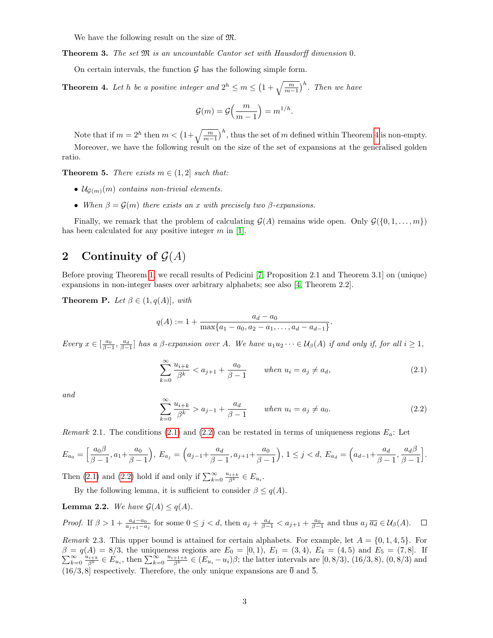We have the following result on the size of  $\mathfrak{M}$ .

<span id="page-2-5"></span>**Theorem 3.** The set  $\mathfrak{M}$  is an uncountable Cantor set with Hausdorff dimension 0.

On certain intervals, the function  $\mathcal G$  has the following simple form.

<span id="page-2-1"></span>**Theorem 4.** Let h be a positive integer and  $2^h \le m \le \left(1 + \sqrt{\frac{m}{m-1}}\right)^h$ . Then we have

$$
\mathcal{G}(m) = \mathcal{G}\left(\frac{m}{m-1}\right) = m^{1/h}.
$$

Note that if  $m = 2^h$  then  $m < (1 + \sqrt{\frac{m}{m-1}})^h$ , thus the set of m defined within Theorem [4](#page-2-1) is non-empty. Moreover, we have the following result on the size of the set of expansions at the generalised golden ratio.

<span id="page-2-6"></span>**Theorem 5.** There exists  $m \in (1, 2]$  such that:

- $\mathcal{U}_{\mathcal{G}(m)}(m)$  contains non-trivial elements.
- When  $\beta = \mathcal{G}(m)$  there exists an x with precisely two  $\beta$ -expansions.

Finally, we remark that the problem of calculating  $\mathcal{G}(A)$  remains wide open. Only  $\mathcal{G}(\{0, 1, \ldots, m\})$ has been calculated for any positive integer  $m$  in [\[1\]](#page-10-1).

## <span id="page-2-0"></span>2 Continuity of  $\mathcal{G}(A)$

Before proving Theorem [1,](#page-1-0) we recall results of Pedicini [\[7,](#page-11-3) Proposition 2.1 and Theorem 3.1] on (unique) expansions in non-integer bases over arbitrary alphabets; see also [\[4,](#page-11-2) Theorem 2.2].

**Theorem P.** Let  $\beta \in (1, q(A))$ , with

$$
q(A) := 1 + \frac{a_d - a_0}{\max\{a_1 - a_0, a_2 - a_1, \dots, a_d - a_{d-1}\}}.
$$

Every  $x \in \left[\frac{a_0}{\beta-1}, \frac{a_d}{\beta-1}\right]$  has a  $\beta$ -expansion over A. We have  $u_1u_2\cdots \in \mathcal{U}_{\beta}(A)$  if and only if, for all  $i \geq 1$ ,

<span id="page-2-2"></span>
$$
\sum_{k=0}^{\infty} \frac{u_{i+k}}{\beta^k} < a_{j+1} + \frac{a_0}{\beta - 1} \qquad \text{when } u_i = a_j \neq a_d,\tag{2.1}
$$

and

<span id="page-2-3"></span>
$$
\sum_{k=0}^{\infty} \frac{u_{i+k}}{\beta^k} > a_{j-1} + \frac{a_d}{\beta - 1} \qquad \text{when } u_i = a_j \neq a_0.
$$
 (2.2)

<span id="page-2-4"></span>Remark 2.1. The conditions [\(2.1\)](#page-2-2) and [\(2.2\)](#page-2-3) can be restated in terms of uniqueness regions  $E_a$ : Let

$$
E_{a_0} = \left[\frac{a_0\beta}{\beta-1}, a_1 + \frac{a_0}{\beta-1}\right), E_{a_j} = \left(a_{j-1} + \frac{a_d}{\beta-1}, a_{j+1} + \frac{a_0}{\beta-1}\right), 1 \le j < d, E_{a_d} = \left(a_{d-1} + \frac{a_d}{\beta-1}, \frac{a_d\beta}{\beta-1}\right].
$$

Then [\(2.1\)](#page-2-2) and [\(2.2\)](#page-2-3) hold if and only if  $\sum_{k=0}^{\infty} \frac{u_{i+k}}{\beta^k} \in E_{u_i}$ .

By the following lemma, it is sufficient to consider  $\beta \leq q(A)$ .

**Lemma 2.2.** We have  $\mathcal{G}(A) \leq q(A)$ .

Proof. If  $\beta > 1 + \frac{a_d - a_0}{a_{j+1} - a_j}$  for some  $0 \leq j < d$ , then  $a_j + \frac{a_d}{\beta - 1} < a_{j+1} + \frac{a_0}{\beta - 1}$  and thus  $a_j \overline{a_d} \in \mathcal{U}_{\beta}(A)$ .

Remark 2.3. This upper bound is attained for certain alphabets. For example, let  $A = \{0, 1, 4, 5\}$ . For  $\beta = q(A) = 8/3$ , the uniqueness regions are  $E_0 = [0, 1)$ ,  $E_1 = (3, 4)$ ,  $E_4 = (4, 5)$  and  $E_5 = (7, 8]$ . If  $\sum_{k=0}^{\infty} \frac{u_{i+k}}{2k} \in E_{u_i}$ , then  $\sum_{k=0}^{\infty} \frac{u_{i+1+k}}{2k} \in (E_{u_i} - u_i)\beta$ ; the latter intervals are  $[0, 8/3)$  $\sum_{k=0}^{\infty} \frac{u_{i+k}}{\beta^k} \in E_{u_i}$ , then  $\sum_{k=0}^{\infty} \frac{u_{i+1+k}}{\beta^k} \in (E_{u_i} - u_i)\beta$ ; the latter intervals are  $[0, 8/3)$ ,  $(16/3, 8)$ ,  $(0, 8/3)$  and  $(16/3, 8]$  respectively. Therefore, the only unique expansions are  $\overline{0}$  and  $\overline{5}$ .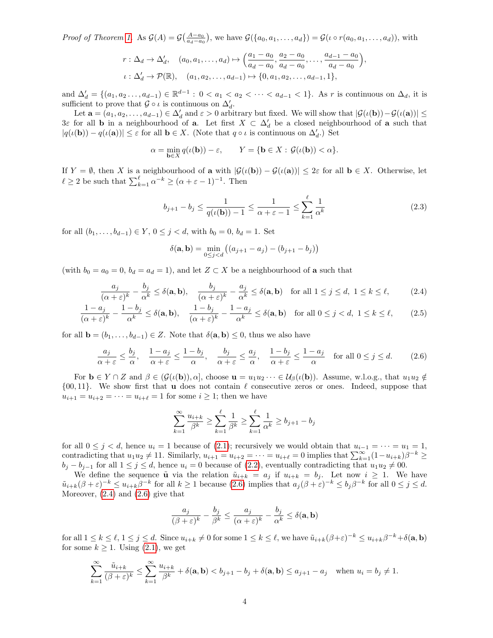Proof of Theorem [1.](#page-1-0) As  $\mathcal{G}(A) = \mathcal{G}(\frac{A-a_0}{a_d-a_0})$ , we have  $\mathcal{G}(\{a_0, a_1, \ldots, a_d\}) = \mathcal{G}(\iota \circ r(a_0, a_1, \ldots, a_d))$ , with

$$
r: \Delta_d \to \Delta'_d, \quad (a_0, a_1, \dots, a_d) \mapsto \left(\frac{a_1 - a_0}{a_d - a_0}, \frac{a_2 - a_0}{a_d - a_0}, \dots, \frac{a_{d-1} - a_0}{a_d - a_0}\right),
$$
  

$$
\iota: \Delta'_d \to \mathcal{P}(\mathbb{R}), \quad (a_1, a_2, \dots, a_{d-1}) \mapsto \{0, a_1, a_2, \dots, a_{d-1}, 1\},
$$

and  $\Delta'_{d} = \{(a_1, a_2, \ldots, a_{d-1}) \in \mathbb{R}^{d-1} : 0 < a_1 < a_2 < \cdots < a_{d-1} < 1\}$ . As r is continuous on  $\Delta_{d}$ , it is sufficient to prove that  $\mathcal{G} \circ \iota$  is continuous on  $\Delta_d'$ .

Let  $\mathbf{a} = (a_1, a_2, \dots, a_{d-1}) \in \Delta_d'$  and  $\varepsilon > 0$  arbitrary but fixed. We will show that  $|\mathcal{G}(\iota(\mathbf{b})) - \mathcal{G}(\iota(\mathbf{a}))| \le$ 3ε for all **b** in a neighbourhood of **a**. Let first  $X \subset \Delta_d$  be a closed neighbourhood of **a** such that  $|q(\iota(\mathbf{b})) - q(\iota(\mathbf{a}))| \leq \varepsilon$  for all  $\mathbf{b} \in X$ . (Note that  $q \circ \iota$  is continuous on  $\Delta'_d$ .) Set

$$
\alpha = \min_{\mathbf{b}\in X} q(\iota(\mathbf{b})) - \varepsilon, \qquad Y = \{\mathbf{b}\in X : \mathcal{G}(\iota(\mathbf{b})) < \alpha\}.
$$

If  $Y = \emptyset$ , then X is a neighbourhood of **a** with  $|\mathcal{G}(\iota(\mathbf{b})) - \mathcal{G}(\iota(\mathbf{a}))| \leq 2\varepsilon$  for all  $\mathbf{b} \in X$ . Otherwise, let  $\ell \geq 2$  be such that  $\sum_{k=1}^{\ell} \alpha^{-k} \geq (\alpha + \varepsilon - 1)^{-1}$ . Then

$$
b_{j+1} - b_j \le \frac{1}{q(\iota(\mathbf{b})) - 1} \le \frac{1}{\alpha + \varepsilon - 1} \le \sum_{k=1}^{\ell} \frac{1}{\alpha^k}
$$
 (2.3)

for all  $(b_1, \ldots, b_{d-1}) \in Y$ ,  $0 \leq j < d$ , with  $b_0 = 0$ ,  $b_d = 1$ . Set

<span id="page-3-2"></span><span id="page-3-1"></span>
$$
\delta(\mathbf{a}, \mathbf{b}) = \min_{0 \le j < d} \left( (a_{j+1} - a_j) - (b_{j+1} - b_j) \right)
$$

(with  $b_0 = a_0 = 0$ ,  $b_d = a_d = 1$ ), and let  $Z \subset X$  be a neighbourhood of **a** such that

$$
\frac{a_j}{(\alpha + \varepsilon)^k} - \frac{b_j}{\alpha^k} \le \delta(\mathbf{a}, \mathbf{b}), \quad \frac{b_j}{(\alpha + \varepsilon)^k} - \frac{a_j}{\alpha^k} \le \delta(\mathbf{a}, \mathbf{b}) \quad \text{for all } 1 \le j \le d, \ 1 \le k \le \ell,
$$
 (2.4)

$$
\frac{1-a_j}{(\alpha+\varepsilon)^k} - \frac{1-b_j}{\alpha^k} \le \delta(\mathbf{a}, \mathbf{b}), \quad \frac{1-b_j}{(\alpha+\varepsilon)^k} - \frac{1-a_j}{\alpha^k} \le \delta(\mathbf{a}, \mathbf{b}) \quad \text{for all } 0 \le j < d, \ 1 \le k \le \ell,\tag{2.5}
$$

for all  $\mathbf{b} = (b_1, \ldots, b_{d-1}) \in Z$ . Note that  $\delta(\mathbf{a}, \mathbf{b}) \leq 0$ , thus we also have

<span id="page-3-0"></span>
$$
\frac{a_j}{\alpha + \varepsilon} \le \frac{b_j}{\alpha}, \quad \frac{1 - a_j}{\alpha + \varepsilon} \le \frac{1 - b_j}{\alpha}, \quad \frac{b_j}{\alpha + \varepsilon} \le \frac{a_j}{\alpha}, \quad \frac{1 - b_j}{\alpha + \varepsilon} \le \frac{1 - a_j}{\alpha} \quad \text{for all } 0 \le j \le d. \tag{2.6}
$$

For  $\mathbf{b} \in Y \cap Z$  and  $\beta \in (\mathcal{G}(\iota(\mathbf{b})), \alpha]$ , choose  $\mathbf{u} = u_1u_2 \cdots \in \mathcal{U}_{\beta}(\iota(\mathbf{b}))$ . Assume, w.l.o.g., that  $u_1u_2 \notin \mathcal{U}_{\beta}$  $\{00, 11\}$ . We show first that **u** does not contain  $\ell$  consecutive zeros or ones. Indeed, suppose that  $u_{i+1} = u_{i+2} = \cdots = u_{i+\ell} = 1$  for some  $i \geq 1$ ; then we have

$$
\sum_{k=1}^{\infty} \frac{u_{i+k}}{\beta^k} \ge \sum_{k=1}^{\ell} \frac{1}{\beta^k} \ge \sum_{k=1}^{\ell} \frac{1}{\alpha^k} \ge b_{j+1} - b_j
$$

for all  $0 \leq j < d$ , hence  $u_i = 1$  because of [\(2.1\)](#page-2-2); recursively we would obtain that  $u_{i-1} = \cdots = u_1 = 1$ , contradicting that  $u_1u_2 \neq 11$ . Similarly,  $u_{i+1} = u_{i+2} = \cdots = u_{i+\ell} = 0$  implies that  $\sum_{k=1}^{\infty} (1-u_{i+k})\beta^{-k} \geq$  $b_j - b_{j-1}$  for all  $1 \leq j \leq d$ , hence  $u_i = 0$  because of  $(2.2)$ , eventually contradicting that  $u_1u_2 \neq 00$ .

We define the sequence  $\tilde{u}$  via the relation  $\tilde{u}_{i+k} = a_j$  if  $u_{i+k} = b_j$ . Let now  $i \geq 1$ . We have  $\tilde{u}_{i+k}(\beta+\varepsilon)^{-k} \leq u_{i+k}\beta^{-k}$  for all  $k \geq 1$  because  $(2.6)$  implies that  $a_j(\beta+\varepsilon)^{-k} \leq b_j\beta^{-k}$  for all  $0 \leq j \leq d$ . Moreover,  $(2.4)$  and  $(2.6)$  give that

$$
\frac{a_j}{(\beta+\varepsilon)^k} - \frac{b_j}{\beta^k} \le \frac{a_j}{(\alpha+\varepsilon)^k} - \frac{b_j}{\alpha^k} \le \delta(\mathbf{a}, \mathbf{b})
$$

for all  $1 \leq k \leq \ell, 1 \leq j \leq d$ . Since  $u_{i+k} \neq 0$  for some  $1 \leq k \leq \ell$ , we have  $\tilde{u}_{i+k}(\beta+\varepsilon)^{-k} \leq u_{i+k}\beta^{-k}+\delta(\mathbf{a}, \mathbf{b})$ for some  $k \geq 1$ . Using  $(2.1)$ , we get

$$
\sum_{k=1}^{\infty} \frac{\tilde{u}_{i+k}}{(\beta + \varepsilon)^k} \le \sum_{k=1}^{\infty} \frac{u_{i+k}}{\beta^k} + \delta(\mathbf{a}, \mathbf{b}) < b_{j+1} - b_j + \delta(\mathbf{a}, \mathbf{b}) \le a_{j+1} - a_j \quad \text{when } u_i = b_j \ne 1.
$$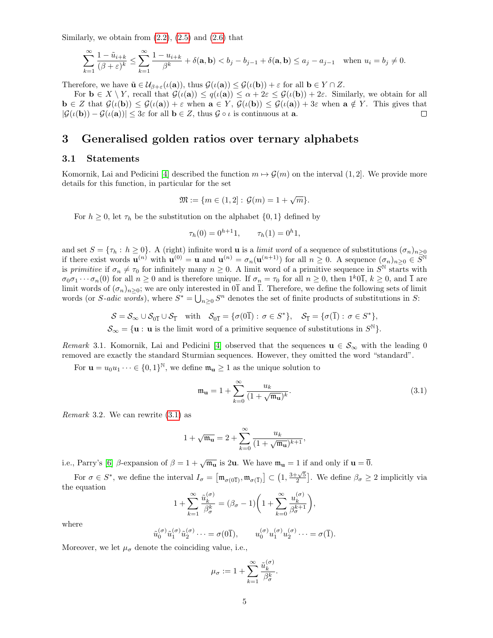Similarly, we obtain from  $(2.2)$ ,  $(2.5)$  and  $(2.6)$  that

$$
\sum_{k=1}^{\infty} \frac{1 - \tilde{u}_{i+k}}{(\beta + \varepsilon)^k} \le \sum_{k=1}^{\infty} \frac{1 - u_{i+k}}{\beta^k} + \delta(\mathbf{a}, \mathbf{b}) < b_j - b_{j-1} + \delta(\mathbf{a}, \mathbf{b}) \le a_j - a_{j-1} \quad \text{when } u_i = b_j \ne 0.
$$

Therefore, we have  $\tilde{\mathbf{u}} \in \mathcal{U}_{\beta+\varepsilon}(\iota(\mathbf{a}))$ , thus  $\mathcal{G}(\iota(\mathbf{a})) \leq \mathcal{G}(\iota(\mathbf{b})) + \varepsilon$  for all  $\mathbf{b} \in Y \cap Z$ .

For  $\mathbf{b} \in X \setminus Y$ , recall that  $\mathcal{G}(\iota(\mathbf{a})) \leq q(\iota(\mathbf{a})) \leq \alpha + 2\varepsilon \leq \mathcal{G}(\iota(\mathbf{b})) + 2\varepsilon$ . Similarly, we obtain for all  $\mathbf{b} \in \mathbb{Z}$  that  $\mathcal{G}(\iota(\mathbf{b})) \leq \mathcal{G}(\iota(\mathbf{a})) + \varepsilon$  when  $\mathbf{a} \in Y$ ,  $\mathcal{G}(\iota(\mathbf{b})) \leq \mathcal{G}(\iota(\mathbf{a})) + 3\varepsilon$  when  $\mathbf{a} \notin Y$ . This gives that  $|\mathcal{G}(\iota(\mathbf{b})) - \mathcal{G}(\iota(\mathbf{a}))| \leq 3\varepsilon$  for all  $\mathbf{b} \in \mathbb{Z}$ , thus  $\mathcal{G} \circ \iota$  is continuous at **a**.  $\Box$ 

### <span id="page-4-0"></span>3 Generalised golden ratios over ternary alphabets

#### 3.1 Statements

Komornik, Lai and Pedicini [\[4\]](#page-11-2) described the function  $m \mapsto \mathcal{G}(m)$  on the interval  $(1, 2]$ . We provide more details for this function, in particular for the set

$$
\mathfrak{M} := \{ m \in (1,2] : \mathcal{G}(m) = 1 + \sqrt{m} \}.
$$

For  $h \geq 0$ , let  $\tau_h$  be the substitution on the alphabet  $\{0, 1\}$  defined by

$$
\tau_h(0) = 0^{h+1}1, \qquad \tau_h(1) = 0^h1,
$$

and set  $S = \{\tau_h : h \ge 0\}$ . A (right) infinite word **u** is a *limit word* of a sequence of substitutions  $(\sigma_n)_{n\ge 0}$ if there exist words  $\mathbf{u}^{(n)}$  with  $\mathbf{u}^{(0)} = \mathbf{u}$  and  $\mathbf{u}^{(n)} = \sigma_n(\mathbf{u}^{(n+1)})$  for all  $n \geq 0$ . A sequence  $(\sigma_n)_{n \geq 0} \in \overline{S}^{\mathbb{N}}$ is primitive if  $\sigma_n \neq \tau_0$  for infinitely many  $n \geq 0$ . A limit word of a primitive sequence in  $S^{\mathbb{N}}$  starts with  $\sigma_0\sigma_1\cdots\sigma_n(0)$  for all  $n\geq 0$  and is therefore unique. If  $\sigma_n=\tau_0$  for all  $n\geq 0$ , then  $1^k0\overline{1}$ ,  $k\geq 0$ , and  $\overline{1}$  are limit words of  $(\sigma_n)_{n\geq 0}$ ; we are only interested in  $0\overline{1}$  and  $\overline{1}$ . Therefore, we define the following sets of limit words (or S-adic words), where  $S^* = \bigcup_{n\geq 0} S^n$  denotes the set of finite products of substitutions in S:

$$
\mathcal{S} = \mathcal{S}_{\infty} \cup \mathcal{S}_{0\overline{1}} \cup \mathcal{S}_{\overline{1}} \quad \text{with} \quad \mathcal{S}_{0\overline{1}} = \{ \sigma(0\overline{1}) : \sigma \in S^* \}, \quad \mathcal{S}_{\overline{1}} = \{ \sigma(\overline{1}) : \sigma \in S^* \},
$$
  

$$
\mathcal{S}_{\infty} = \{ \sigma \in \mathcal{S} \text{ is the limit proof of a primitive sequence of sub-stituting in } S^{\mathbb{N}} \}.
$$

 $\mathcal{S}_{\infty} = {\mathbf{u} : \mathbf{u} \text{ is the limit word of a primitive sequence of substitutions in } S^{\mathbb{N}}}.$ 

<span id="page-4-3"></span>Remark 3.1. Komornik, Lai and Pedicini [\[4\]](#page-11-2) observed that the sequences  $\mathbf{u} \in \mathcal{S}_{\infty}$  with the leading 0 removed are exactly the standard Sturmian sequences. However, they omitted the word "standard".

For  $\mathbf{u} = u_0 u_1 \cdots \in \{0,1\}^{\mathbb{N}},$  we define  $\mathfrak{m}_{\mathbf{u}} \geq 1$  as the unique solution to

<span id="page-4-1"></span>
$$
\mathfrak{m}_{\mathbf{u}} = 1 + \sum_{k=0}^{\infty} \frac{u_k}{(1 + \sqrt{\mathfrak{m}_{\mathbf{u}}})^k}.
$$
\n(3.1)

<span id="page-4-2"></span>*Remark* 3.2. We can rewrite  $(3.1)$  as

$$
1+\sqrt{\mathfrak{m}_{\mathbf{u}}}=2+\sum_{k=0}^{\infty}\frac{u_k}{(1+\sqrt{\mathfrak{m}_{\mathbf{u}}})^{k+1}},
$$

i.e., Parry's [\[6\]](#page-11-4) β-expansion of  $\beta = 1 + \sqrt{m_{\mathbf{u}}}$  is 2**u**. We have  $m_{\mathbf{u}} = 1$  if and only if  $\mathbf{u} = \overline{0}$ .

For  $\sigma \in S^*$ , we define the interval  $I_{\sigma} = \left[ \mathfrak{m}_{\sigma(0\overline{1})}, \mathfrak{m}_{\sigma(\overline{1})} \right] \subset \left( 1, \frac{3+\sqrt{5}}{2} \right]$ . We define  $\beta_{\sigma} \geq 2$  implicitly via the equation

$$
1 + \sum_{k=1}^{\infty} \frac{\tilde{u}_k^{(\sigma)}}{\beta_{\sigma}^k} = (\beta_{\sigma} - 1) \bigg( 1 + \sum_{k=0}^{\infty} \frac{u_k^{(\sigma)}}{\beta_{\sigma}^{k+1}} \bigg),
$$

where

$$
\tilde{u}_0^{(\sigma)}\tilde{u}_1^{(\sigma)}\tilde{u}_2^{(\sigma)}\cdots = \sigma(0\overline{1}), \qquad u_0^{(\sigma)}u_1^{(\sigma)}u_2^{(\sigma)}\cdots = \sigma(\overline{1}).
$$

Moreover, we let  $\mu_{\sigma}$  denote the coinciding value, i.e.,

$$
\mu_\sigma:=1+\sum_{k=1}^\infty \frac{\tilde u_k^{(\sigma)}}{\beta_\sigma^k}.
$$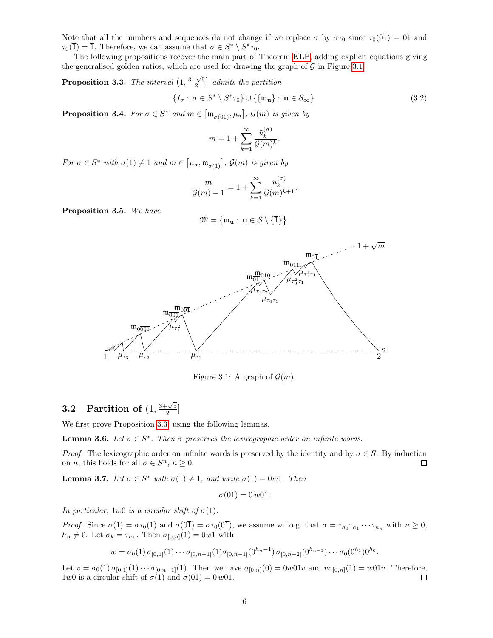Note that all the numbers and sequences do not change if we replace  $\sigma$  by  $\sigma_{\tau_0}$  since  $\tau_0(0\bar{1}) = 0\bar{1}$  and  $\tau_0(\overline{1}) = \overline{1}$ . Therefore, we can assume that  $\sigma \in S^* \setminus S^* \tau_0$ .

The following propositions recover the main part of Theorem [KLP,](#page-1-0) adding explicit equations giving the generalised golden ratios, which are used for drawing the graph of  $G$  in Figure [3.1.](#page-5-0)

<span id="page-5-1"></span>**Proposition 3.3.** The interval  $\left(1, \frac{3+\sqrt{5}}{2}\right]$  admits the partition

$$
\{I_{\sigma}: \sigma \in S^* \setminus S^* \tau_0\} \cup \{\{\mathfrak{m}_\mathbf{u}\}: \mathbf{u} \in \mathcal{S}_{\infty}\}.
$$
\n(3.2)

<span id="page-5-4"></span>**Proposition 3.4.** For  $\sigma \in S^*$  and  $m \in [\mathfrak{m}_{\sigma(0\overline{1})}, \mu_{\sigma}], \mathcal{G}(m)$  is given by

$$
m=1+\sum_{k=1}^\infty \frac{\tilde u_k^{(\sigma)}}{\mathcal{G}(m)^k}.
$$

For  $\sigma \in S^*$  with  $\sigma(1) \neq 1$  and  $m \in [\mu_{\sigma}, \mathfrak{m}_{\sigma(1)}], \mathcal{G}(m)$  is given by

$$
\frac{m}{\mathcal{G}(m)-1}=1+\sum_{k=1}^{\infty}\frac{u_k^{(\sigma)}}{\mathcal{G}(m)^{k+1}}.
$$

<span id="page-5-5"></span>Proposition 3.5. We have

$$
\mathfrak{M}=\{\mathfrak{m}_{\mathbf{u}}:\,\mathbf{u}\in\mathcal{S}\setminus\{\overline{1}\}\}.
$$



<span id="page-5-0"></span>Figure 3.1: A graph of  $\mathcal{G}(m)$ .

### 3.2 Partition of  $(1, \frac{3+\sqrt{5}}{2})$  $\frac{\sqrt{5}}{2}$ ]

We first prove Proposition [3.3,](#page-5-1) using the following lemmas.

<span id="page-5-2"></span>**Lemma 3.6.** Let  $\sigma \in S^*$ . Then  $\sigma$  preserves the lexicographic order on infinite words.

*Proof.* The lexicographic order on infinite words is preserved by the identity and by  $\sigma \in S$ . By induction on *n*, this holds for all  $\sigma \in S^n$ ,  $n \geq 0$ .  $\Box$ 

<span id="page-5-3"></span>**Lemma 3.7.** Let  $\sigma \in S^*$  with  $\sigma(1) \neq 1$ , and write  $\sigma(1) = 0w1$ . Then

$$
\sigma(0\overline{1}) = 0 \,\overline{w01}.
$$

In particular, 1w0 is a circular shift of  $\sigma(1)$ .

*Proof.* Since  $\sigma(1) = \sigma \tau_0(1)$  and  $\sigma(0\bar{1}) = \sigma \tau_0(0\bar{1})$ , we assume w.l.o.g. that  $\sigma = \tau_{h_0} \tau_{h_1} \cdots \tau_{h_n}$  with  $n \ge 0$ ,  $h_n \neq 0$ . Let  $\sigma_k = \tau_{h_k}$ . Then  $\sigma_{[0,n]}(1) = 0w1$  with

$$
w = \sigma_0(1) \sigma_{[0,1]}(1) \cdots \sigma_{[0,n-1]}(1) \sigma_{[0,n-1]}(0^{h_n-1}) \sigma_{[0,n-2]}(0^{h_{n-1}}) \cdots \sigma_0(0^{h_1}) 0^{h_0}.
$$

Let  $v = \sigma_0(1) \sigma_{[0,1]}(1) \cdots \sigma_{[0,n-1]}(1)$ . Then we have  $\sigma_{[0,n]}(0) = 0w01v$  and  $v\sigma_{[0,n]}(1) = w01v$ . Therefore, 1w0 is a circular shift of  $\sigma(1)$  and  $\sigma(0) = 0 \overline{w01}$ .  $\Box$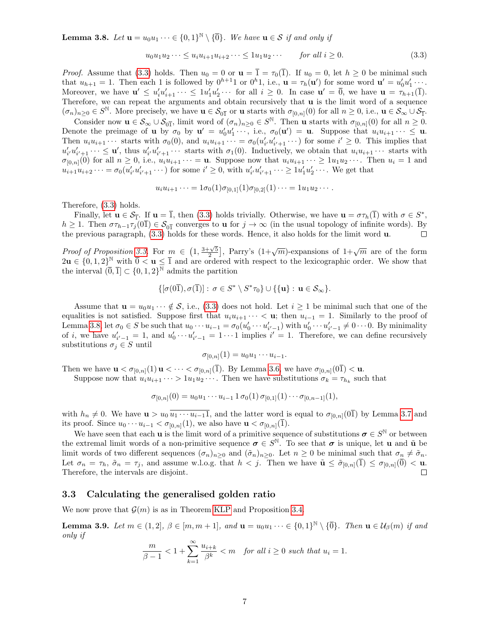<span id="page-6-1"></span>**Lemma 3.8.** Let  $\mathbf{u} = u_0 u_1 \cdots \in \{0,1\}^{\mathbb{N}} \setminus \{\overline{0}\}\$ . We have  $\mathbf{u} \in \mathcal{S}$  if and only if

<span id="page-6-0"></span>
$$
u_0 u_1 u_2 \dots \le u_i u_{i+1} u_{i+2} \dots \le 1 u_1 u_2 \dots \qquad \text{for all } i \ge 0. \tag{3.3}
$$

*Proof.* Assume that [\(3.3\)](#page-6-0) holds. Then  $u_0 = 0$  or  $\mathbf{u} = \overline{1} = \tau_0(\overline{1})$ . If  $u_0 = 0$ , let  $h \ge 0$  be minimal such that  $u_{h+1} = 1$ . Then each 1 is followed by  $0^{h+1}1$  or  $0^{h}1$ , i.e.,  $\mathbf{u} = \tau_h(\mathbf{u}')$  for some word  $\mathbf{u}' = u'_0u'_1 \cdots$ . Moreover, we have  $\mathbf{u}' \leq u'_i u'_{i+1} \cdots \leq 1 u'_1 u'_2 \cdots$  for all  $i \geq 0$ . In case  $\mathbf{u}' = \overline{0}$ , we have  $\mathbf{u} = \tau_{h+1}(\overline{1})$ . Therefore, we can repeat the arguments and obtain recursively that u is the limit word of a sequence  $(\sigma_n)_{n\geq 0} \in S^{\mathbb{N}}$ . More precisely, we have  $\mathbf{u} \in \mathcal{S}_{0\overline{1}}$  or  $\mathbf{u}$  starts with  $\sigma_{[0,n]}(0)$  for all  $n \geq 0$ , i.e.,  $\mathbf{u} \in \mathcal{S}_{\infty} \cup \mathcal{S}_{\overline{1}}$ .

Consider now  $\mathbf{u} \in \mathcal{S}_{\infty} \cup \mathcal{S}_{0\bar{1}}$ , limit word of  $(\sigma_n)_{n\geq 0} \in S^{\mathbb{N}}$ . Then  $\mathbf{u}$  starts with  $\sigma_{[0,n]}(0)$  for all  $n \geq 0$ . Denote the preimage of **u** by  $\sigma_0$  by  $\mathbf{u}' = u'_0u'_1 \cdots$ , i.e.,  $\sigma_0(\mathbf{u}') = \mathbf{u}$ . Suppose that  $u_i u_{i+1} \cdots \leq \mathbf{u}$ . Then  $u_i u_{i+1} \cdots$  starts with  $\sigma_0(0)$ , and  $u_i u_{i+1} \cdots = \sigma_0(u'_{i'} u'_{i'+1} \cdots)$  for some  $i' \geq 0$ . This implies that  $u'_{i'}u'_{i'+1}\cdots \leq \mathbf{u}'$ , thus  $u'_{i'}u'_{i'+1}\cdots$  starts with  $\sigma_1(0)$ . Inductively, we obtain that  $u_iu_{i+1}\cdots$  starts with  $\sigma_{[0,n]}(0)$  for all  $n \geq 0$ , i.e.,  $u_i u_{i+1} \cdots = \mathbf{u}$ . Suppose now that  $u_i u_{i+1} \cdots \geq 1 u_1 u_2 \cdots$ . Then  $u_i = 1$  and  $u_{i+1}u_{i+2}\cdots = \sigma_0(u'_{i'}u'_{i'+1}\cdots)$  for some  $i' \geq 0$ , with  $u'_{i'}u'_{i'+1}\cdots \geq 1u'_{1}u'_{2}\cdots$ . We get that

$$
u_i u_{i+1} \cdots = 1 \sigma_0(1) \sigma_{[0,1]}(1) \sigma_{[0,2]}(1) \cdots = 1 u_1 u_2 \cdots.
$$

Therefore, [\(3.3\)](#page-6-0) holds.

Finally, let  $\mathbf{u} \in \mathcal{S}_{\bar{1}}$ . If  $\mathbf{u} = \bar{1}$ , then [\(3.3\)](#page-6-0) holds trivially. Otherwise, we have  $\mathbf{u} = \sigma \tau_h(\bar{1})$  with  $\sigma \in S^*$ ,  $h \geq 1$ . Then  $\sigma \tau_{h-1} \tau_j(0\bar{1}) \in \mathcal{S}_{0\bar{1}}$  converges to **u** for  $j \to \infty$  (in the usual topology of infinite words). By the previous paragraph, [\(3.3\)](#page-6-0) holds for these words. Hence, it also holds for the limit word u.  $\Box$ 

*Proof of Proposition* [3.3.](#page-5-1) For  $m \in (1, \frac{3+\sqrt{5}}{2}]$ , Parry's  $(1+\sqrt{m})$ -expansions of  $1+\sqrt{m}$  are of the form  $2u \in \{0, 1, 2\}^{\mathbb{N}}$  with  $\overline{0} < u \leq \overline{1}$  and are ordered with respect to the lexicographic order. We show that the interval  $(0, 1) \subset \{0, 1, 2\}^{\overline{\mathbb{N}}}$  admits the partition

$$
\{[\sigma(0\overline 1),\sigma(\overline 1)]:\, \sigma\in S^*\setminus S^*\tau_0\}\cup \{\{{\mathbf u}\}: \, {\mathbf u}\in {\mathcal S}_\infty\}.
$$

Assume that  $\mathbf{u} = u_0 u_1 \cdots \notin \mathcal{S}$ , i.e., [\(3.3\)](#page-6-0) does not hold. Let  $i \geq 1$  be minimal such that one of the equalities is not satisfied. Suppose first that  $u_i u_{i+1} \cdots < u$ ; then  $u_{i-1} = 1$ . Similarly to the proof of Lemma [3.8,](#page-6-1) let  $\sigma_0 \in S$  be such that  $u_0 \cdots u_{i-1} = \sigma_0(u'_0 \cdots u'_{i'-1})$  with  $u'_0 \cdots u'_{i'-1} \neq 0 \cdots 0$ . By minimality of *i*, we have  $u'_{i'-1} = 1$ , and  $u'_0 \cdots u'_{i'-1} = 1 \cdots 1$  implies  $i' = 1$ . Therefore, we can define recursively substitutions  $\sigma_j \in S$  until

$$
\sigma_{[0,n]}(1) = u_0 u_1 \cdots u_{i-1}.
$$

Then we have  $\mathbf{u} < \sigma_{[0,n]}(1) \mathbf{u} < \cdots < \sigma_{[0,n]}(\bar{1})$ . By Lemma [3.6,](#page-5-2) we have  $\sigma_{[0,n]}(0\bar{1}) < \mathbf{u}$ .

Suppose now that  $u_i u_{i+1} \cdots > 1 u_1 u_2 \cdots$ . Then we have substitutions  $\sigma_k = \tau_{h_k}$  such that

$$
\sigma_{[0,n]}(0) = u_0 u_1 \cdots u_{i-1} 1 \sigma_0(1) \sigma_{[0,1]}(1) \cdots \sigma_{[0,n-1]}(1),
$$

with  $h_n \neq 0$ . We have  $u > u_0 \overline{u_1 \cdots u_{i-1}1}$ , and the latter word is equal to  $\sigma_{[0,n]}(0\overline{1})$  by Lemma [3.7](#page-5-3) and its proof. Since  $u_0 \cdots u_{i-1} < \sigma_{[0,n]}(1)$ , we also have  $\mathbf{u} < \sigma_{[0,n]}(1)$ .

We have seen that each **u** is the limit word of a primitive sequence of substitutions  $\sigma \in S^{\mathbb{N}}$  or between the extremal limit words of a non-primitive sequence  $\sigma \in S^{\mathbb{N}}$ . To see that  $\sigma$  is unique, let **u** and  $\tilde{\mathbf{u}}$  be limit words of two different sequences  $(\sigma_n)_{n>0}$  and  $(\tilde{\sigma}_n)_{n>0}$ . Let  $n \geq 0$  be minimal such that  $\sigma_n \neq \tilde{\sigma}_n$ . Let  $\sigma_n = \tau_h$ ,  $\tilde{\sigma}_n = \tau_j$ , and assume w.l.o.g. that  $h < j$ . Then we have  $\tilde{\mathbf{u}} \leq \tilde{\sigma}_{[0,n]}(\overline{1}) \leq \sigma_{[0,n]}(\overline{0}) < \mathbf{u}$ . Therefore, the intervals are disjoint.  $\Box$ 

#### 3.3 Calculating the generalised golden ratio

We now prove that  $\mathcal{G}(m)$  is as in Theorem [KLP](#page-1-0) and Proposition [3.4.](#page-5-4)

<span id="page-6-2"></span>**Lemma 3.9.** Let  $m \in (1, 2], \beta \in [m, m + 1],$  and  $\mathbf{u} = u_0 u_1 \cdots \in \{0, 1\}^{\mathbb{N}} \setminus {\{\overline{0}}\}$ . Then  $\mathbf{u} \in \mathcal{U}_{\beta}(m)$  if and only if

$$
\frac{m}{\beta - 1} < 1 + \sum_{k=1}^{\infty} \frac{u_{i+k}}{\beta^k} < m \quad \text{for all } i \ge 0 \text{ such that } u_i = 1.
$$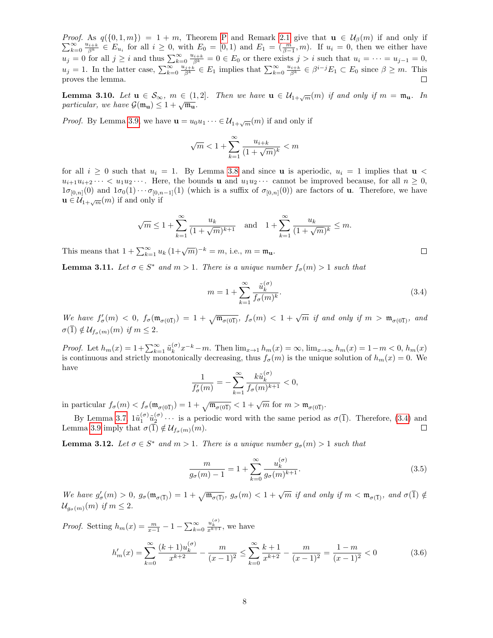$\sum_{k=1}^{\infty}$ *Proof.* As  $q(\{0, 1, m\}) = 1 + m$ , Theorem [P](#page-2-0) and Remark [2.1](#page-2-4) give that  $u \in \mathcal{U}_{\beta}(m)$  if and only if  $\sum_{k=0}^{\infty} \frac{u_{i+k}}{\beta^k} \in E_{u_i}$  for all  $i \geq 0$ , with  $E_0 = [0,1)$  and  $E_1 = (\frac{m}{\beta-1},m)$ . If  $u_i = 0$ , then we either have  $u_j = 0$  for all  $j \geq i$  and thus  $\sum_{k=0}^{\infty} \frac{u_{i+k}}{\beta^k} = 0 \in E_0$  or there exists  $j > i$  such that  $u_i = \cdots = u_{j-1} = 0$ ,  $u_j = 1$ . In the latter case,  $\sum_{k=0}^{\infty} \frac{u_{j+k}}{\beta^k} \in E_1$  implies that  $\sum_{k=0}^{\infty} \frac{u_{i+k}}{\beta^k} \in \beta^{i-j} E_1 \subset E_0$  since  $\beta \geq m$ . This proves the lemma.

<span id="page-7-4"></span>**Lemma 3.10.** Let  $u \in S_{\infty}$ ,  $m \in (1, 2]$ . Then we have  $u \in \mathcal{U}_{1+\sqrt{m}}(m)$  if and only if  $m = \mathfrak{m}_u$ . In **Definition b**.10. Let  $\mathbf{u} \in \mathcal{O}_{\infty}$ ,  $m \in (1, 1)$ <br>particular, we have  $\mathcal{G}(\mathfrak{m}_{\mathbf{u}}) \leq 1 + \sqrt{\mathfrak{m}_{\mathbf{u}}}$ .

*Proof.* By Lemma [3.9,](#page-6-2) we have  $\mathbf{u} = u_0 u_1 \cdots \in \mathcal{U}_{1+\sqrt{m}}(m)$  if and only if

$$
\sqrt{m} < 1 + \sum_{k=1}^{\infty} \frac{u_{i+k}}{(1 + \sqrt{m})^k} < m
$$

for all  $i \geq 0$  such that  $u_i = 1$ . By Lemma [3.8](#page-6-1) and since **u** is aperiodic,  $u_i = 1$  implies that **u** <  $u_{i+1}u_{i+2}\cdots < u_1u_2\cdots$ . Here, the bounds **u** and  $u_1u_2\cdots$  cannot be improved because, for all  $n \geq 0$ ,  $1\sigma_{[0,n]}(0)$  and  $1\sigma_0(1)\cdots\sigma_{[0,n-1]}(1)$  (which is a suffix of  $\sigma_{[0,n]}(0)$ ) are factors of **u**. Therefore, we have  $\mathbf{u} \in \mathcal{U}_{1+\sqrt{m}}(m)$  if and only if

$$
\sqrt{m} \le 1 + \sum_{k=1}^{\infty} \frac{u_k}{(1 + \sqrt{m})^{k+1}}
$$
 and  $1 + \sum_{k=1}^{\infty} \frac{u_k}{(1 + \sqrt{m})^k} \le m$ .

This means that  $1 + \sum_{k=1}^{\infty} u_k (1 + \sqrt{m})^{-k} = m$ , i.e.,  $m = \mathfrak{m}_{\mathbf{u}}$ .

<span id="page-7-1"></span>**Lemma 3.11.** Let  $\sigma \in S^*$  and  $m > 1$ . There is a unique number  $f_{\sigma}(m) > 1$  such that

<span id="page-7-0"></span>
$$
m = 1 + \sum_{k=1}^{\infty} \frac{\tilde{u}_k^{(\sigma)}}{f_{\sigma}(m)^k}.
$$
\n(3.4)

We have  $f'_{\sigma}(m) < 0$ ,  $f_{\sigma}(\mathfrak{m}_{\sigma(0\bar{1})}) = 1 + \sqrt{\mathfrak{m}_{\sigma(0\bar{1})}}$ ,  $f_{\sigma}(m) < 1 + \sqrt{m}$  if and only if  $m > \mathfrak{m}_{\sigma(0\bar{1})}$ , and  $\sigma(\overline{1}) \notin \mathcal{U}_{f_{\sigma}(m)}(m)$  if  $m \leq 2$ .

*Proof.* Let  $h_m(x) = 1 + \sum_{k=1}^{\infty} \tilde{u}_k^{(\sigma)}$  $\lim_{k} (x) x^{-k} - m$ . Then  $\lim_{x \to 1} h_m(x) = \infty$ ,  $\lim_{x \to \infty} h_m(x) = 1 - m < 0$ ,  $h_m(x)$ is continuous and strictly monotonically decreasing, thus  $f_{\sigma}(m)$  is the unique solution of  $h_m(x) = 0$ . We have

$$
\frac{1}{f'_{\sigma}(m)} = -\sum_{k=1}^{\infty} \frac{k \tilde{u}_k^{(\sigma)}}{f_{\sigma}(m)^{k+1}} < 0,
$$

in particular  $f_{\sigma}(m) < f_{\sigma}(\mathfrak{m}_{\sigma(0\bar{1})}) = 1 + \sqrt{\mathfrak{m}_{\sigma(0\bar{1})}} < 1 + \sqrt{m}$  for  $m > \mathfrak{m}_{\sigma(0\bar{1})}$ .

By Lemma [3.7,](#page-5-3)  $1\tilde{u}_1^{(\sigma)}\tilde{u}_2^{(\sigma)}\cdots$  is a periodic word with the same period as  $\sigma(\bar{1})$ . Therefore, [\(3.4\)](#page-7-0) and Lemma [3.9](#page-6-2) imply that  $\sigma(\overline{1}) \notin \mathcal{U}_{f_{\sigma}(m)}(m)$ .  $\Box$ 

<span id="page-7-5"></span>**Lemma 3.12.** Let  $\sigma \in S^*$  and  $m > 1$ . There is a unique number  $g_{\sigma}(m) > 1$  such that

<span id="page-7-2"></span>
$$
\frac{m}{g_{\sigma}(m)-1} = 1 + \sum_{k=0}^{\infty} \frac{u_k^{(\sigma)}}{g_{\sigma}(m)^{k+1}}.
$$
\n(3.5)

We have  $g'_{\sigma}(m) > 0$ ,  $g_{\sigma}(\mathfrak{m}_{\sigma(\bar{1})}) = 1 + \sqrt{\mathfrak{m}_{\sigma(\bar{1})}}$ ,  $g_{\sigma}(m) < 1 + \sqrt{m}$  if and only if  $m < \mathfrak{m}_{\sigma(\bar{1})}$ , and  $\sigma(\bar{1}) \notin$  $\mathcal{U}_{q_{\sigma}(m)}(m)$  if  $m \leq 2$ .

*Proof.* Setting  $h_m(x) = \frac{m}{x-1} - 1 - \sum_{k=0}^{\infty}$  $\frac{u_k^{(\sigma)}}{x^{k+1}}$ , we have

<span id="page-7-3"></span>
$$
h'_m(x) = \sum_{k=0}^{\infty} \frac{(k+1)u_k^{(\sigma)}}{x^{k+2}} - \frac{m}{(x-1)^2} \le \sum_{k=0}^{\infty} \frac{k+1}{x^{k+2}} - \frac{m}{(x-1)^2} = \frac{1-m}{(x-1)^2} < 0
$$
 (3.6)

 $\Box$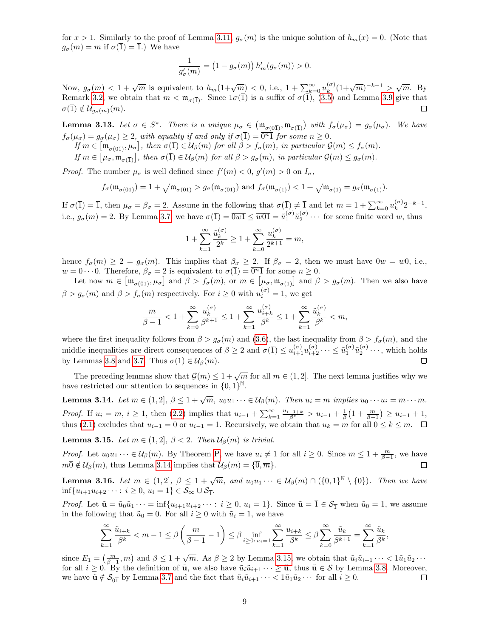for  $x > 1$ . Similarly to the proof of Lemma [3.11,](#page-7-1)  $g_{\sigma}(m)$  is the unique solution of  $h_m(x) = 0$ . (Note that  $g_{\sigma}(m) = m$  if  $\sigma(\overline{1}) = \overline{1}$ .) We have

$$
\frac{1}{g'_{\sigma}(m)} = (1 - g_{\sigma}(m)) h'_{m}(g_{\sigma}(m)) > 0.
$$

Now,  $g_{\sigma}(m) < 1 + \sqrt{m}$  is equivalent to  $h_m(1+\sqrt{m}) < 0$ , i.e.,  $1 + \sum_{k=0}^{\infty} u_k^{(\sigma)}$  $\binom{(n)}{k} (1+\sqrt{m})^{-k-1} > \sqrt{m}$ . By Remark [3.2,](#page-4-2) we obtain that  $m < \mathfrak{m}_{\sigma(\overline{1})}$ . Since  $1\sigma(\overline{1})$  is a suffix of  $\sigma(\overline{1})$ , [\(3.5\)](#page-7-2) and Lemma [3.9](#page-6-2) give that  $\sigma(\overline{1}) \notin \mathcal{U}_{g_{\sigma}(m)}(m).$  $\Box$ 

**Lemma 3.13.** Let  $\sigma \in S^*$ . There is a unique  $\mu_{\sigma} \in (\mathfrak{m}_{\sigma(0\overline{1})}, \mathfrak{m}_{\sigma(\overline{1})})$  with  $f_{\sigma}(\mu_{\sigma}) = g_{\sigma}(\mu_{\sigma})$ . We have  $f_{\sigma}(\mu_{\sigma}) = g_{\sigma}(\mu_{\sigma}) \geq 2$ , with equality if and only if  $\sigma(\overline{1}) = \overline{0^{n}1}$  for some  $n \geq 0$ .

If  $m \in [\mathfrak{m}_{\sigma(0\overline{1})}, \mu_{\sigma}],$  then  $\sigma(\overline{1}) \in \mathcal{U}_{\beta}(m)$  for all  $\beta > f_{\sigma}(m),$  in particular  $\mathcal{G}(m) \leq f_{\sigma}(m)$ .

If  $m \in [\mu_{\sigma}, \mathfrak{m}_{\sigma(\overline{1})}]$ , then  $\sigma(\overline{1}) \in \mathcal{U}_{\beta}(m)$  for all  $\beta > g_{\sigma}(m)$ , in particular  $\mathcal{G}(m) \leq g_{\sigma}(m)$ .

*Proof.* The number  $\mu_{\sigma}$  is well defined since  $f'(m) < 0$ ,  $g'(m) > 0$  on  $I_{\sigma}$ ,

$$
f_{\sigma}(\mathfrak{m}_{\sigma(0\overline{1})})=1+\sqrt{\mathfrak{m}_{\sigma(0\overline{1})}}>g_{\sigma}(\mathfrak{m}_{\sigma(0\overline{1})}) \text{ and } f_{\sigma}(\mathfrak{m}_{\sigma(\overline{1})})<1+\sqrt{\mathfrak{m}_{\sigma(\overline{1})}}=g_{\sigma}(\mathfrak{m}_{\sigma(\overline{1})}).
$$

If  $\sigma(\bar{1}) = \bar{1}$ , then  $\mu_{\sigma} = \beta_{\sigma} = 2$ . Assume in the following that  $\sigma(\bar{1}) \neq \bar{1}$  and let  $m = 1 + \sum_{k=0}^{\infty} u_k^{(\sigma)}$  $\binom{(\sigma)}{k} 2^{-k-1},$ i.e.,  $g_{\sigma}(m) = 2$ . By Lemma [3.7,](#page-5-3) we have  $\sigma(\bar{1}) = \bar{0} \overline{w} \bar{1} \le \bar{w} \overline{0} \bar{1} = \tilde{u}_{1}^{(\sigma)} \tilde{u}_{2}^{(\sigma)} \cdots$  for some finite word w, thus

$$
1 + \sum_{k=1}^{\infty} \frac{\tilde{u}_k^{(\sigma)}}{2^k} \ge 1 + \sum_{k=0}^{\infty} \frac{u_k^{(\sigma)}}{2^{k+1}} = m,
$$

hence  $f_{\sigma}(m) \geq 2 = g_{\sigma}(m)$ . This implies that  $\beta_{\sigma} \geq 2$ . If  $\beta_{\sigma} = 2$ , then we must have  $0w = w_0$ , i.e.,  $w = 0 \cdots 0$ . Therefore,  $\beta_{\sigma} = 2$  is equivalent to  $\sigma(\overline{1}) = \overline{0^{n}1}$  for some  $n \ge 0$ .

Let now  $m \in \left[\mathfrak{m}_{\sigma(0\overline{1})}, \mu_{\sigma}\right]$  and  $\beta > f_{\sigma}(m)$ , or  $m \in \left[\mu_{\sigma}, \mathfrak{m}_{\sigma(\overline{1})}\right]$  and  $\beta > g_{\sigma}(m)$ . Then we also have  $\beta > g_{\sigma}(m)$  and  $\beta > f_{\sigma}(m)$  respectively. For  $i \geq 0$  with  $u_i^{(\sigma)} = 1$ , we get

$$
\frac{m}{\beta-1}<1+\sum_{k=0}^\infty \frac{u_k^{(\sigma)}}{\beta^{k+1}}\leq 1+\sum_{k=1}^\infty \frac{u_{i+k}^{(\sigma)}}{\beta^k}\leq 1+\sum_{k=1}^\infty \frac{\tilde u_k^{(\sigma)}}{\beta^k}
$$

where the first inequality follows from  $\beta > g_{\sigma}(m)$  and [\(3.6\)](#page-7-3), the last inequality from  $\beta > f_{\sigma}(m)$ , and the middle inequalities are direct consequences of  $\beta \geq 2$  and  $\sigma(\overline{1}) \leq u_{i+1}^{(\sigma)} u_{i+2}^{(\sigma)} \cdots \leq \tilde{u}_1^{(\sigma)} \tilde{u}_2^{(\sigma)} \cdots$ , which holds by Lemmas [3.8](#page-6-1) and [3.7.](#page-5-3) Thus  $\sigma(\overline{1}) \in \mathcal{U}_{\beta}(m)$ .  $\Box$ 

The preceding lemmas show that  $\mathcal{G}(m) \leq 1 + \sqrt{m}$  for all  $m \in (1, 2]$ . The next lemma justifies why we have restricted our attention to sequences in  $\{0,1\}^{\mathbb{N}}$ .

<span id="page-8-0"></span>**Lemma 3.14.** Let  $m \in (1, 2], \beta \leq 1 + \sqrt{m}, u_0u_1 \cdots \in \mathcal{U}_{\beta}(m)$ . Then  $u_i = m$  implies  $u_0 \cdots u_i = m \cdots m$ . *Proof.* If  $u_i = m, i ≥ 1$ , then [\(2.2\)](#page-2-3) implies that  $u_{i-1} + \sum_{k=1}^{\infty} \frac{u_{i-1+k}}{\beta^k} > u_{i-1} + \frac{1}{\beta} \left(1 + \frac{m}{\beta-1}\right) ≥ u_{i-1} + 1$ , thus [\(2.1\)](#page-2-2) excludes that  $u_{i-1} = 0$  or  $u_{i-1} = 1$ . Recursively, we obtain that  $u_k = m$  for all  $0 \le k \le m$ .  $\Box$ 

<span id="page-8-1"></span>**Lemma 3.15.** Let  $m \in (1, 2], \beta < 2$ . Then  $\mathcal{U}_{\beta}(m)$  is trivial.

*Proof.* Let  $u_0u_1 \cdots \in \mathcal{U}_\beta(m)$ . By Theorem [P,](#page-2-0) we have  $u_i \neq 1$  for all  $i \geq 0$ . Since  $m \leq 1 + \frac{m}{\beta-1}$ , we have  $m\overline{0} \notin \mathcal{U}_{\beta}(m)$ , thus Lemma [3.14](#page-8-0) implies that  $\mathcal{U}_{\beta}(m) = {\overline{0}, \overline{m}}$ .  $\Box$ 

<span id="page-8-2"></span>**Lemma 3.16.** Let  $m \in (1,2], \beta \leq 1 + \sqrt{m}$ , and  $u_0u_1\cdots \in \mathcal{U}_{\beta}(m) \cap (\{0,1\}^{\mathbb{N}} \setminus {\overline{0}}).$  Then we have  $\inf\{u_{i+1}u_{i+2}\cdots : i\geq 0, u_i=1\} \in \mathcal{S}_{\infty}\cup \mathcal{S}_{\overline{1}}.$ 

*Proof.* Let  $\tilde{\mathbf{u}} = \tilde{u}_0 \tilde{u}_1 \cdots = \inf\{u_{i+1}u_{i+2} \cdots : i \geq 0, u_i = 1\}$ . Since  $\tilde{\mathbf{u}} = \overline{1} \in \mathcal{S}_{\overline{1}}$  when  $\tilde{u}_0 = 1$ , we assume in the following that  $\tilde{u}_0 = 0$ . For all  $i \geq 0$  with  $\tilde{u}_i = 1$ , we have

$$
\sum_{k=1}^{\infty} \frac{\tilde{u}_{i+k}}{\beta^k} < m-1 \le \beta \left(\frac{m}{\beta-1} - 1\right) \le \beta \inf_{i \ge 0: \, u_i = 1} \sum_{k=1}^{\infty} \frac{u_{i+k}}{\beta^k} \le \beta \sum_{k=0}^{\infty} \frac{\tilde{u}_k}{\beta^{k+1}} = \sum_{k=1}^{\infty} \frac{\tilde{u}_k}{\beta^k},
$$

since  $E_1 = \left(\frac{m}{\beta-1}, m\right)$  and  $\beta \leq 1 + \sqrt{m}$ . As  $\beta \geq 2$  by Lemma [3.15,](#page-8-1) we obtain that  $\tilde{u}_i \tilde{u}_{i+1} \cdots < 1 \tilde{u}_1 \tilde{u}_2 \cdots$ for all  $i \geq 0$ . By the definition of  $\tilde{\mathbf{u}}$ , we also have  $\tilde{u}_i \tilde{u}_{i+1} \cdots \geq \tilde{\mathbf{u}}$ , thus  $\tilde{\mathbf{u}} \in \mathcal{S}$  by Lemma [3.8.](#page-6-1) Moreover, we have  $\tilde{\mathbf{u}} \notin \mathcal{S}_{0\bar{1}}$  by Lemma [3.7](#page-5-3) and the fact that  $\tilde{u}_i \tilde{u}_{i+1} \cdots < 1 \tilde{u}_1 \tilde{u}_2 \cdots$  for all  $i \geq 0$ .  $\Box$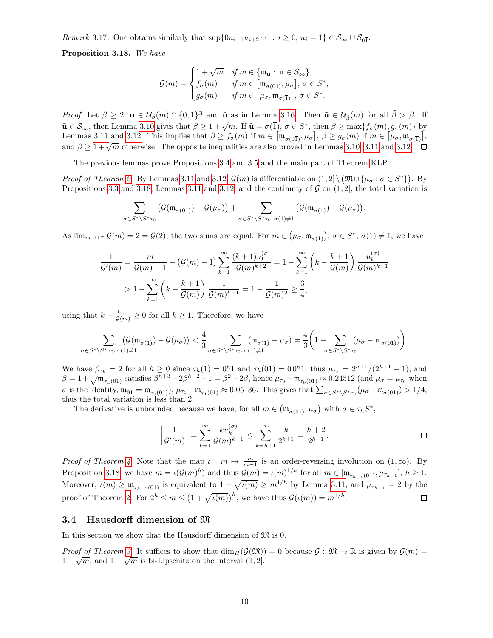Remark 3.17. One obtains similarly that  $\sup\{0u_{i+1}u_{i+2}\cdots : i\geq 0, u_i=1\} \in \mathcal{S}_{\infty}\cup \mathcal{S}_{0\bar{1}}$ .

<span id="page-9-0"></span>Proposition 3.18. We have

$$
\mathcal{G}(m) = \begin{cases} 1+\sqrt{m} & \text{ if } m \in \{\mathfrak{m}_{\mathbf{u}}: \, \mathbf{u} \in \mathcal{S}_{\infty}\}, \\ f_{\sigma}(m) & \text{ if } m \in \big[\mathfrak{m}_{\sigma(0\overline{1})}, \mu_{\sigma}\big], \, \sigma \in S^*, \\ g_{\sigma}(m) & \text{ if } m \in \big[\mu_{\sigma}, \mathfrak{m}_{\sigma(\overline{1})}\big], \, \sigma \in S^*. \end{cases}
$$

*Proof.* Let  $\beta \geq 2$ ,  $\mathbf{u} \in \mathcal{U}_{\beta}(m) \cap \{0,1\}^{\mathbb{N}}$  and  $\tilde{\mathbf{u}}$  as in Lemma [3.16.](#page-8-2) Then  $\tilde{\mathbf{u}} \in \mathcal{U}_{\tilde{\beta}}(m)$  for all  $\tilde{\beta} > \beta$ . If  $\tilde{\mathbf{u}} \in \mathcal{S}_{\infty}$ , then Lemma [3.10](#page-7-4) gives that  $\beta \geq 1 + \sqrt{m}$ . If  $\tilde{\mathbf{u}} = \sigma(\overline{1}), \sigma \in S^*$ , then  $\beta \geq \max\{f_{\sigma}(m), g_{\sigma}(m)\}\)$  by Lemmas [3.11](#page-7-1) and [3.12.](#page-7-5) This implies that  $\beta \ge f_{\sigma}(m)$  if  $m \in [\mathfrak{m}_{\sigma(0\overline{1})}, \mu_{\sigma}], \beta \ge g_{\sigma}(m)$  if  $m \in [\mu_{\sigma}, \mathfrak{m}_{\sigma(\overline{1})}],$  $\Delta$  and  $\beta \geq 1 + \sqrt{m}$  otherwise. The opposite inequalities are also proved in Lemmas [3.10,](#page-7-4) [3.11](#page-7-1) and [3.12.](#page-7-5)

The previous lemmas prove Propositions [3.4](#page-5-4) and [3.5](#page-5-5) and the main part of Theorem [KLP.](#page-1-0)

*Proof of Theorem [2.](#page-1-1)* By Lemmas [3.11](#page-7-1) and [3.12,](#page-7-5)  $\mathcal{G}(m)$  is differentiable on  $(1,2] \setminus (\mathfrak{M} \cup \{\mu_{\sigma} : \sigma \in S^*\})$ . By Propositions [3.3](#page-5-1) and [3.18,](#page-9-0) Lemmas [3.11](#page-7-1) and [3.12,](#page-7-5) and the continuity of  $\mathcal G$  on  $(1, 2]$ , the total variation is

$$
\sum_{\sigma \in S^* \setminus S^* \tau_0} \left( \mathcal{G}(\mathfrak{m}_{\sigma(0\overline{1})}) - \mathcal{G}(\mu_{\sigma}) \right) + \sum_{\sigma \in S^* \setminus S^* \tau_0 : \sigma(1) \neq 1} \left( \mathcal{G}(\mathfrak{m}_{\sigma(\overline{1})}) - \mathcal{G}(\mu_{\sigma}) \right).
$$

As  $\lim_{m\to 1^+} \mathcal{G}(m) = 2 = \mathcal{G}(2)$ , the two sums are equal. For  $m \in (\mu_{\sigma}, \mathfrak{m}_{\sigma(\overline{1})}), \sigma \in S^*, \sigma(1) \neq 1$ , we have

$$
\frac{1}{\mathcal{G}'(m)} = \frac{m}{\mathcal{G}(m) - 1} - (\mathcal{G}(m) - 1) \sum_{k=1}^{\infty} \frac{(k+1)u_k^{(\sigma)}}{\mathcal{G}(m)^{k+2}} = 1 - \sum_{k=1}^{\infty} \left( k - \frac{k+1}{\mathcal{G}(m)} \right) \frac{u_k^{(\sigma)}}{\mathcal{G}(m)^{k+1}}
$$
  
>  $1 - \sum_{k=1}^{\infty} \left( k - \frac{k+1}{\mathcal{G}(m)} \right) \frac{1}{\mathcal{G}(m)^{k+1}} = 1 - \frac{1}{\mathcal{G}(m)^2} \ge \frac{3}{4},$ 

using that  $k - \frac{k+1}{\mathcal{G}(m)} \geq 0$  for all  $k \geq 1$ . Therefore, we have

$$
\sum_{\sigma \in S^* \backslash S^* \tau_0: \sigma(1) \neq 1} \left( \mathcal{G}(\mathfrak{m}_{\sigma(\overline{1})}) - \mathcal{G}(\mu_{\sigma}) \right) < \frac{4}{3} \sum_{\sigma \in S^* \backslash S^* \tau_0: \sigma(1) \neq 1} (\mathfrak{m}_{\sigma(\overline{1})} - \mu_{\sigma}) = \frac{4}{3} \left( 1 - \sum_{\sigma \in S^* \backslash S^* \tau_0} (\mu_{\sigma} - \mathfrak{m}_{\sigma(0\overline{1})}) \right).
$$

We have  $\beta_{\tau_h} = 2$  for all  $h \geq 0$  since  $\tau_h(\overline{1}) = \overline{0^{h_1}}$  and  $\tau_h(0\overline{1}) = 0\overline{0^{h_1}}$ , thus  $\mu_{\tau_h} = 2^{h+1}/(2^{h+1}-1)$ , and  $\beta = 1 + \sqrt{\mathfrak{m}_{\tau_h(\vec{01})}}$  satisfies  $\beta^{h+3} - 2\beta^{h+2} - 1 = \beta^2 - 2\beta$ , hence  $\mu_{\tau_0} - \mathfrak{m}_{\tau_0(\vec{01})} \approx 0.24512$  (and  $\mu_{\sigma} = \mu_{\tau_0}$  when  $\sigma$  is the identity,  $\mathfrak{m}_{0\bar{1}} = \mathfrak{m}_{\tau_0(0\bar{1})}$ ,  $\mu_{\tau_1} - \mathfrak{m}_{\tau_1(0\bar{1})} \approx 0.05136$ . This gives that  $\sum_{\sigma \in S^* \backslash S^* \tau_0} (\mu_{\sigma} - \mathfrak{m}_{\sigma(0\bar{1})}) > 1/4$ , thus the total variation is less than 2.

The derivative is unbounded because we have, for all  $m \in (\mathfrak{m}_{\sigma(0\overline{1})}, \mu_{\sigma})$  with  $\sigma \in \tau_h S^*$ ,

$$
\left| \frac{1}{\mathcal{G}'(m)} \right| = \sum_{k=1}^{\infty} \frac{k \tilde{u}_k^{(\sigma)}}{\mathcal{G}(m)^{k+1}} \le \sum_{k=h+1}^{\infty} \frac{k}{2^{k+1}} = \frac{h+2}{2^{h+1}}.
$$

Proof of Theorem [4.](#page-2-1) Note that the map  $\iota : m \mapsto \frac{m}{m-1}$  is an order-reversing involution on  $(1, \infty)$ . By Proposition [3.18,](#page-9-0) we have  $m = \iota(\mathcal{G}(m)^h)$  and thus  $\mathcal{G}(m) = \iota(m)^{1/h}$  for all  $m \in [\mathfrak{m}_{\tau_{h-1}(0\overline{1})}, \mu_{\tau_{h-1}}], h \ge 1$ . Moreover,  $\iota(m) \geq \mathfrak{m}_{\tau_{h-1}(0\bar{1})}$  is equivalent to  $1 + \sqrt{\iota(m)} \geq m^{1/h}$  by Lemma [3.11,](#page-7-1) and  $\mu_{\tau_{h-1}} = 2$  by the proof of Theorem [2.](#page-1-1) For  $2^h \le m \le (1 + \sqrt{\iota(m)})^h$ , we have thus  $\mathcal{G}(\iota(m)) = m^{1/h}$ .  $\Box$ 

#### 3.4 Hausdorff dimension of M

In this section we show that the Hausdorff dimension of  $\mathfrak{M}$  is 0.

Proof of Theorem [3.](#page-2-5) It suffices to show that  $\dim_H(\mathcal{G}(\mathfrak{M})) = 0$  because  $\mathcal{G}: \mathfrak{M} \to \mathbb{R}$  is given by  $\mathcal{G}(m) =$ *Troof of Theorem 3.* It sumes to show that  $\dim_H(\mathcal{G}(\mathcal{M}))$ <br> $1 + \sqrt{m}$ , and  $1 + \sqrt{m}$  is bi-Lipschitz on the interval (1, 2).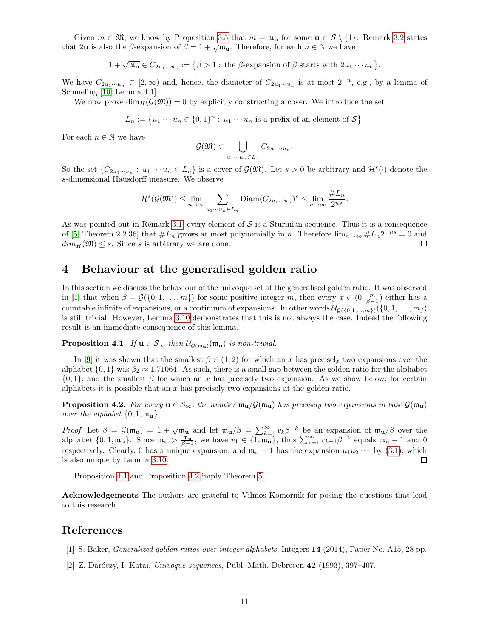Given  $m \in \mathfrak{M}$ , we know by Proposition [3.5](#page-5-5) that  $m = \mathfrak{m}_{\mathbf{u}}$  for some  $\mathbf{u} \in \mathcal{S} \setminus \{ \overline{1} \}$ . Remark [3.2](#page-4-2) states that 2u is also the  $\beta$ -expansion of  $\beta = 1 + \sqrt{m_u}$ . Therefore, for each  $n \in \mathbb{N}$  we have

$$
1+\sqrt{\mathfrak{m}_{\mathbf{u}}}\in C_{2u_1\cdots u_n}:=\big\{\beta>1:\,\text{the }\beta\text{-expansion of }\beta\text{ starts with }2u_1\cdots u_n\big\}.
$$

We have  $C_{2u_1\cdots u_n} \subset [2,\infty)$  and, hence, the diameter of  $C_{2u_1\cdots u_n}$  is at most  $2^{-n}$ , e.g., by a lemma of Schmeling [\[10,](#page-11-5) Lemma 4.1].

We now prove  $\dim_H(\mathcal{G}(\mathfrak{M})) = 0$  by explicitly constructing a cover. We introduce the set

$$
L_n := \{u_1 \cdots u_n \in \{0,1\}^n : u_1 \cdots u_n \text{ is a prefix of an element of } S\}.
$$

For each  $n \in \mathbb{N}$  we have

$$
\mathcal{G}(\mathfrak{M}) \subset \bigcup_{u_1 \cdots u_n \in L_n} C_{2u_1 \cdots u_n}.
$$

So the set  $\{C_{2u_1\cdots u_n}: u_1\cdots u_n\in L_n\}$  is a cover of  $\mathcal{G}(\mathfrak{M})$ . Let  $s>0$  be arbitrary and  $\mathcal{H}^s(\cdot)$  denote the s-dimensional Hausdorff measure. We observe

$$
\mathcal{H}^s(\mathcal{G}(\mathfrak{M})) \le \lim_{n \to \infty} \sum_{u_1 \cdots u_n \in L_n} \text{Diam}(C_{2u_1 \cdots u_n})^s \le \lim_{n \to \infty} \frac{\#L_n}{2^{ns}}.
$$

As was pointed out in Remark [3.1,](#page-4-3) every element of  $S$  is a Sturmian sequence. Thus it is a consequence of [\[5,](#page-11-6) Theorem 2.2.36] that  $#L_n$  grows at most polynomially in n. Therefore  $\lim_{n\to\infty} H_{n2}^{-ns} = 0$  and  $dim_H(\mathfrak{M}) \leq s$ . Since s is arbitrary we are done.  $\Box$ 

## 4 Behaviour at the generalised golden ratio

In this section we discuss the behaviour of the univoque set at the generalised golden ratio. It was observed in [\[1\]](#page-10-1) that when  $\beta = \mathcal{G}(\{0, 1, ..., m\})$  for some positive integer m, then every  $x \in (0, \frac{m}{\beta-1})$  either has a countable infinite of expansions, or a continuum of expansions. In other words  $\mathcal{U}_{\mathcal{G}(\{0,1,\ldots,m\})}(\{0,1,\ldots,m\})$ is still trivial. However, Lemma [3.10](#page-7-4) demonstrates that this is not always the case. Indeed the following result is an immediate consequence of this lemma.

<span id="page-10-2"></span>**Proposition 4.1.** If  $u \in S_{\infty}$  then  $U_{\mathcal{G}(\mathfrak{m}_u)}(\mathfrak{m}_u)$  is non-trivial.

In [\[9\]](#page-11-7) it was shown that the smallest  $\beta \in (1,2)$  for which an x has precisely two expansions over the alphabet  $\{0, 1\}$  was  $\beta_2 \approx 1.71064$ . As such, there is a small gap between the golden ratio for the alphabet  $\{0,1\}$ , and the smallest  $\beta$  for which an x has precisely two expansion. As we show below, for certain alphabets it is possible that an  $x$  has precisely two expansions at the golden ratio.

<span id="page-10-3"></span>**Proposition 4.2.** For every  $u \in S_{\infty}$ , the number  $m_u/\mathcal{G}(m_u)$  has precisely two expansions in base  $\mathcal{G}(m_u)$ over the alphabet  $\{0, 1, \mathfrak{m}_\mathbf{u}\}.$ 

*Proof.* Let  $\beta = \mathcal{G}(\mathfrak{m}_{\mathbf{u}}) = 1 + \sqrt{\mathfrak{m}_{\mathbf{u}}}$  and let  $\mathfrak{m}_{\mathbf{u}}/\beta = \sum_{k=1}^{\infty} v_k \beta^{-k}$  be an expansion of  $\mathfrak{m}_{\mathbf{u}}/\beta$  over the alphabet  $\{0, 1, \mathfrak{m}_{\mathbf{u}}\}$ . Since  $\mathfrak{m}_{\mathbf{u}} > \frac{\mathfrak{m}_{\mathbf{u}}}{\beta-1}$ , we have  $v_1 \in \{1, \mathfrak{m}_{\mathbf{u}}\}$ , thus  $\sum_{k=1}^{\infty} v_{k+1} \beta^{-k}$  equals  $\mathfrak{m}_{\mathbf{u}} - 1$  and 0 respectively. Clearly, 0 has a unique expansion, and  $\mathfrak{m}_{\mathbf{u}} - 1$  has the expansion  $u_1u_2 \cdots$  by [\(3.1\)](#page-4-1), which is also unique by Lemma [3.10.](#page-7-4)  $\Box$ 

Proposition [4.1](#page-10-2) and Proposition [4.2](#page-10-3) imply Theorem [5.](#page-2-6)

Acknowledgements The authors are grateful to Vilmos Komornik for posing the questions that lead to this research.

## References

- <span id="page-10-1"></span>[1] S. Baker, Generalized golden ratios over integer alphabets, Integers 14 (2014), Paper No. A15, 28 pp.
- <span id="page-10-0"></span>[2] Z. Daróczy, I. Katai, Univoque sequences, Publ. Math. Debrecen  $42$  (1993), 397–407.